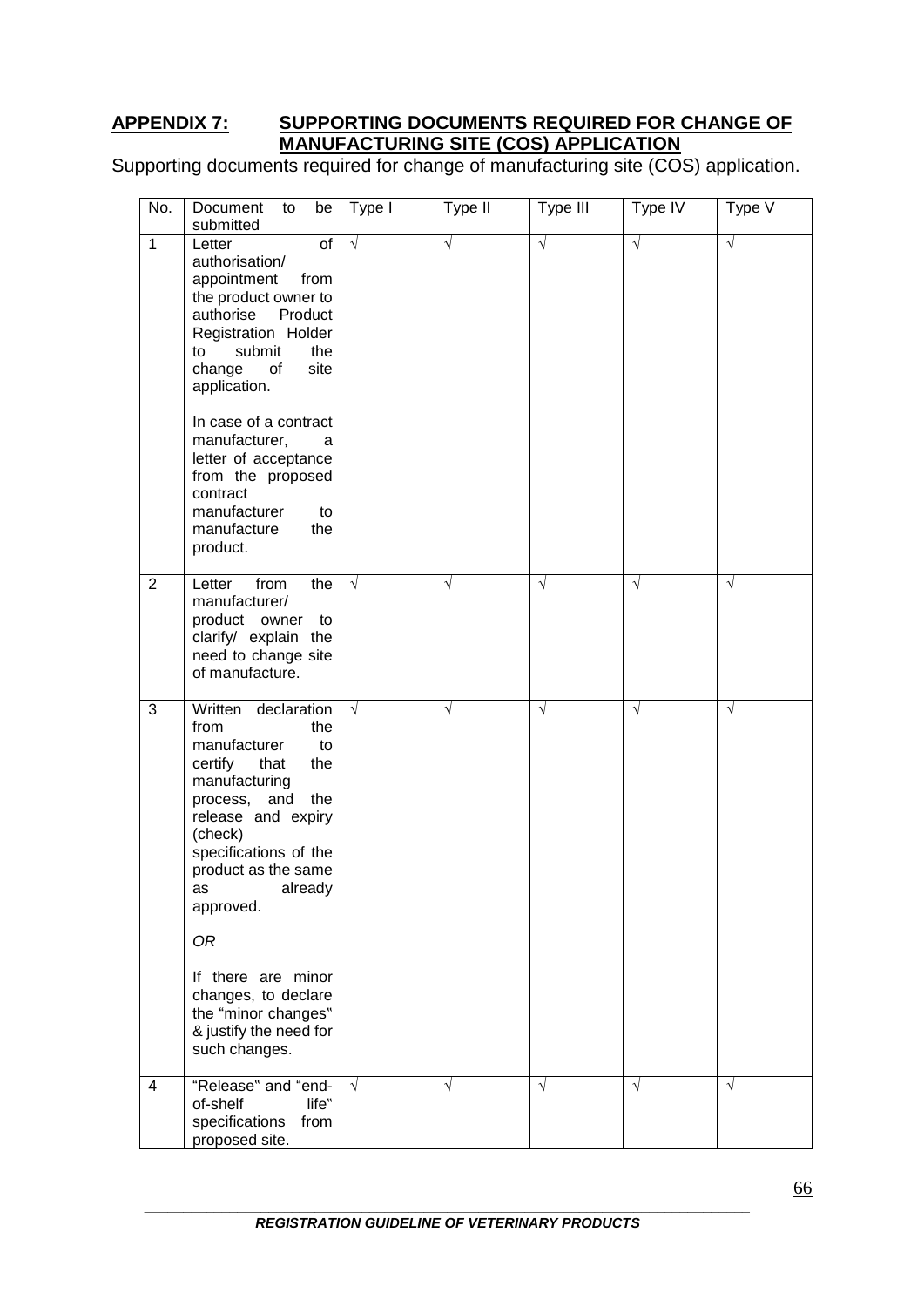## **APPENDIX 7: SUPPORTING DOCUMENTS REQUIRED FOR CHANGE OF MANUFACTURING SITE (COS) APPLICATION**

Supporting documents required for change of manufacturing site (COS) application.

| No.            | Document<br>be<br>to<br>submitted                                                                                                                                                                                                                                                                                                                           | Type I     | Type II    | Type III   | Type IV    | Type V     |
|----------------|-------------------------------------------------------------------------------------------------------------------------------------------------------------------------------------------------------------------------------------------------------------------------------------------------------------------------------------------------------------|------------|------------|------------|------------|------------|
| $\mathbf{1}$   | Letter<br>of<br>authorisation/<br>appointment<br>from<br>the product owner to<br>Product<br>authorise<br>Registration Holder<br>submit<br>the<br>to<br>change<br>of<br>site<br>application.<br>In case of a contract<br>manufacturer,<br>a<br>letter of acceptance<br>from the proposed<br>contract<br>manufacturer<br>to<br>manufacture<br>the<br>product. | $\sqrt{ }$ | $\sqrt{ }$ | $\sqrt{ }$ | $\sqrt{}$  | $\sqrt{}$  |
| $\overline{2}$ | the<br>Letter<br>from<br>manufacturer/<br>product owner<br>to<br>clarify/ explain the<br>need to change site<br>of manufacture.                                                                                                                                                                                                                             | $\sqrt{ }$ | $\sqrt{ }$ | $\sqrt{ }$ | $\sqrt{ }$ | $\sqrt{ }$ |
| 3              | Written declaration<br>from<br>the<br>manufacturer<br>to<br>certify<br>that<br>the<br>manufacturing<br>process, and the<br>release and expiry<br>(check)<br>specifications of the<br>product as the same<br>as already<br>approved.<br>0R<br>If there are minor<br>changes, to declare<br>the "minor changes"<br>& justify the need for<br>such changes.    | $\sqrt{ }$ | $\sqrt{ }$ | $\sqrt{ }$ | $\sqrt{}$  | $\sqrt{}$  |
| $\overline{4}$ | "Release" and "end-<br>life"<br>of-shelf<br>specifications<br>from<br>proposed site.                                                                                                                                                                                                                                                                        | $\sqrt{ }$ | $\sqrt{ }$ | $\sqrt{ }$ | $\sqrt{}$  | $\sqrt{}$  |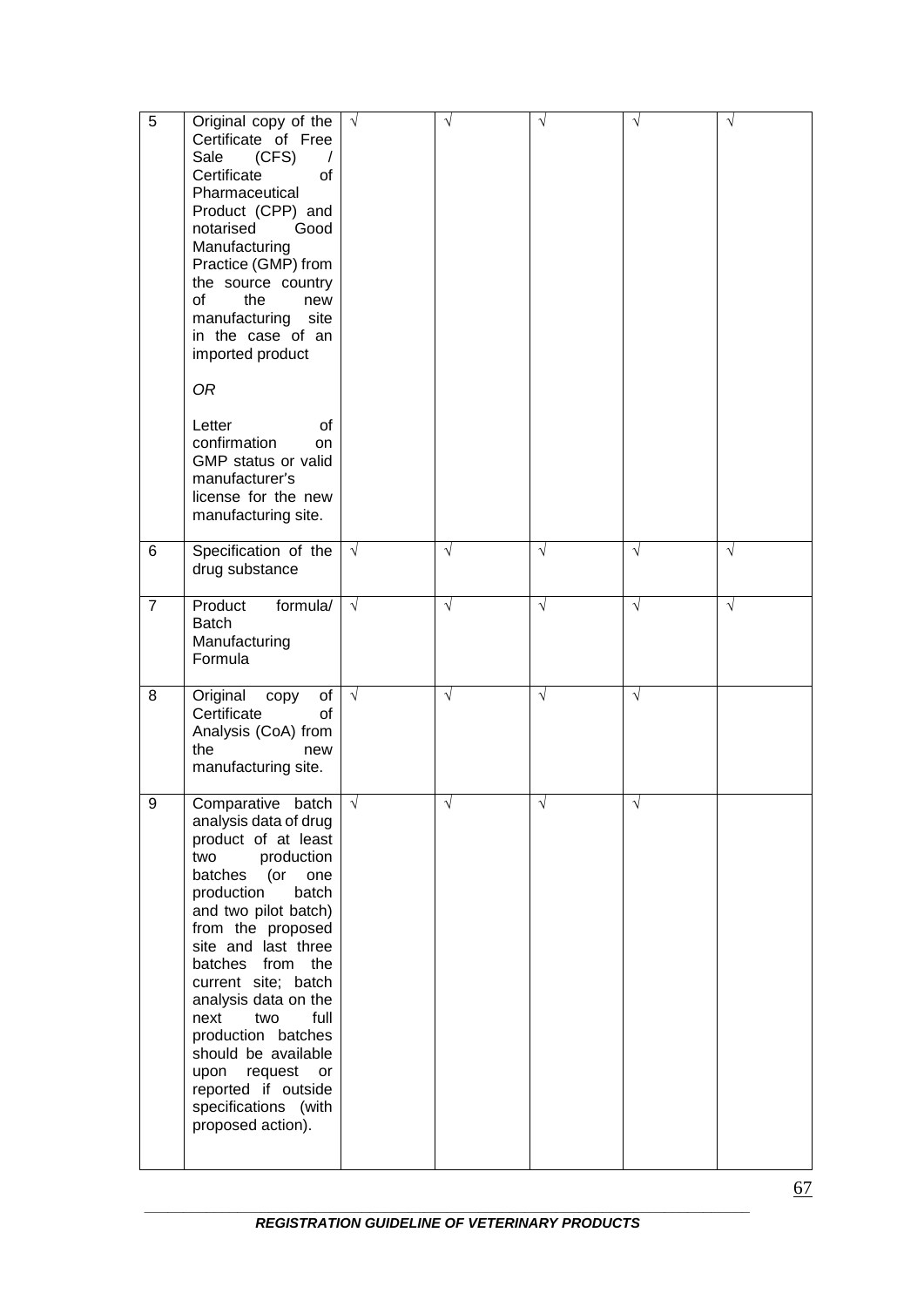| $\overline{5}$ | Original copy of the<br>Certificate of Free<br>Sale<br>(CFS)<br>$\prime$<br>Certificate<br>οf<br>Pharmaceutical<br>Product (CPP) and<br>notarised<br>Good<br>Manufacturing<br>Practice (GMP) from<br>the source country<br>of<br>the<br>new<br>manufacturing<br>site<br>in the case of an<br>imported product<br>0R                                                                                                                         | $\sqrt{ }$ | $\sqrt{}$  | $\sqrt{}$  | $\sqrt{}$  | $\sqrt{}$ |
|----------------|---------------------------------------------------------------------------------------------------------------------------------------------------------------------------------------------------------------------------------------------------------------------------------------------------------------------------------------------------------------------------------------------------------------------------------------------|------------|------------|------------|------------|-----------|
|                | of<br>Letter<br>confirmation<br>on<br>GMP status or valid<br>manufacturer's<br>license for the new<br>manufacturing site.                                                                                                                                                                                                                                                                                                                   |            |            |            |            |           |
| 6              | Specification of the<br>drug substance                                                                                                                                                                                                                                                                                                                                                                                                      | $\sqrt{ }$ | $\sqrt{}$  | $\sqrt{}$  | $\sqrt{}$  | $\sqrt{}$ |
| $\overline{7}$ | Product<br>formula/<br><b>Batch</b><br>Manufacturing<br>Formula                                                                                                                                                                                                                                                                                                                                                                             | $\sqrt{ }$ | $\sqrt{}$  | $\sqrt{}$  | $\sqrt{}$  | $\sqrt{}$ |
| 8              | of<br>Original<br>copy<br>Certificate<br>of<br>Analysis (CoA) from<br>the<br>new<br>manufacturing site.                                                                                                                                                                                                                                                                                                                                     | $\sqrt{ }$ | $\sqrt{ }$ | $\sqrt{ }$ | $\sqrt{ }$ |           |
| 9              | Comparative batch<br>analysis data of drug<br>product of at least<br>production<br>two<br>batches (or<br>one<br>production<br>batch<br>and two pilot batch)<br>from the proposed<br>site and last three<br>batches from the<br>current site; batch<br>analysis data on the<br>full<br>next<br>two<br>production batches<br>should be available<br>upon<br>request<br>or<br>reported if outside<br>specifications (with<br>proposed action). | $\sqrt{ }$ | $\sqrt{ }$ | $\sqrt{ }$ | $\sqrt{}$  |           |